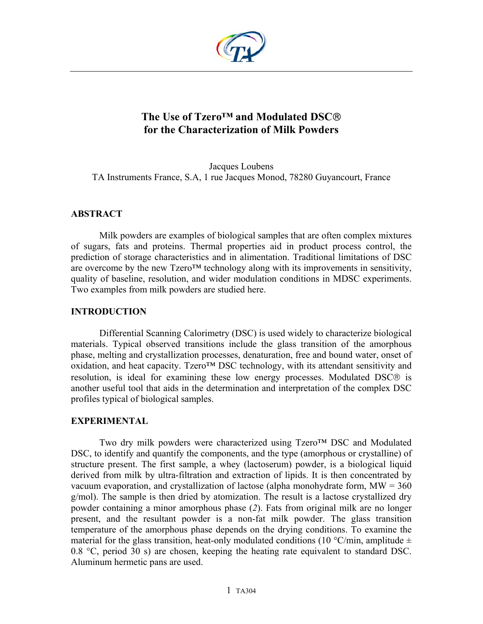

# **The Use of Tzero™ and Modulated DSC for the Characterization of Milk Powders**

Jacques Loubens TA Instruments France, S.A, 1 rue Jacques Monod, 78280 Guyancourt, France

## **ABSTRACT**

Milk powders are examples of biological samples that are often complex mixtures of sugars, fats and proteins. Thermal properties aid in product process control, the prediction of storage characteristics and in alimentation. Traditional limitations of DSC are overcome by the new Tzero™ technology along with its improvements in sensitivity, quality of baseline, resolution, and wider modulation conditions in MDSC experiments. Two examples from milk powders are studied here.

### **INTRODUCTION**

Differential Scanning Calorimetry (DSC) is used widely to characterize biological materials. Typical observed transitions include the glass transition of the amorphous phase, melting and crystallization processes, denaturation, free and bound water, onset of oxidation, and heat capacity. Tzero™ DSC technology, with its attendant sensitivity and resolution, is ideal for examining these low energy processes. Modulated DSC<sup>®</sup> is another useful tool that aids in the determination and interpretation of the complex DSC profiles typical of biological samples.

### **EXPERIMENTAL**

Two dry milk powders were characterized using Tzero™ DSC and Modulated DSC, to identify and quantify the components, and the type (amorphous or crystalline) of structure present. The first sample, a whey (lactoserum) powder, is a biological liquid derived from milk by ultra-filtration and extraction of lipids. It is then concentrated by vacuum evaporation, and crystallization of lactose (alpha monohydrate form,  $MW = 360$ g/mol). The sample is then dried by atomization. The result is a lactose crystallized dry powder containing a minor amorphous phase (*2*). Fats from original milk are no longer present, and the resultant powder is a non-fat milk powder. The glass transition temperature of the amorphous phase depends on the drying conditions. To examine the material for the glass transition, heat-only modulated conditions (10  $\degree$ C/min, amplitude  $\pm$ 0.8 °C, period 30 s) are chosen, keeping the heating rate equivalent to standard DSC. Aluminum hermetic pans are used.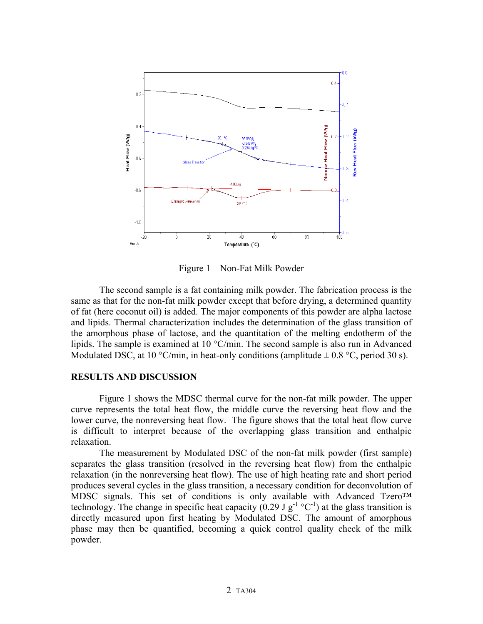

Figure 1 – Non-Fat Milk Powder

The second sample is a fat containing milk powder. The fabrication process is the same as that for the non-fat milk powder except that before drying, a determined quantity of fat (here coconut oil) is added. The major components of this powder are alpha lactose and lipids. Thermal characterization includes the determination of the glass transition of the amorphous phase of lactose, and the quantitation of the melting endotherm of the lipids. The sample is examined at 10 °C/min. The second sample is also run in Advanced Modulated DSC, at 10 °C/min, in heat-only conditions (amplitude  $\pm$  0.8 °C, period 30 s).

#### **RESULTS AND DISCUSSION**

Figure 1 shows the MDSC thermal curve for the non-fat milk powder. The upper curve represents the total heat flow, the middle curve the reversing heat flow and the lower curve, the nonreversing heat flow. The figure shows that the total heat flow curve is difficult to interpret because of the overlapping glass transition and enthalpic relaxation.

The measurement by Modulated DSC of the non-fat milk powder (first sample) separates the glass transition (resolved in the reversing heat flow) from the enthalpic relaxation (in the nonreversing heat flow). The use of high heating rate and short period produces several cycles in the glass transition, a necessary condition for deconvolution of MDSC signals. This set of conditions is only available with Advanced Tzero™ technology. The change in specific heat capacity (0.29 J  $g^{-1}$  °C<sup>-1</sup>) at the glass transition is directly measured upon first heating by Modulated DSC. The amount of amorphous phase may then be quantified, becoming a quick control quality check of the milk powder.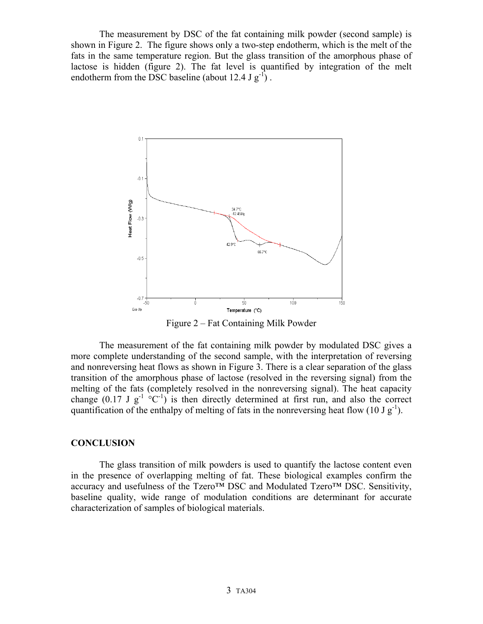The measurement by DSC of the fat containing milk powder (second sample) is shown in Figure 2. The figure shows only a two-step endotherm, which is the melt of the fats in the same temperature region. But the glass transition of the amorphous phase of lactose is hidden (figure 2). The fat level is quantified by integration of the melt endotherm from the DSC baseline (about 12.4 J  $g^{-1}$ ).



Figure 2 – Fat Containing Milk Powder

The measurement of the fat containing milk powder by modulated DSC gives a more complete understanding of the second sample, with the interpretation of reversing and nonreversing heat flows as shown in Figure 3. There is a clear separation of the glass transition of the amorphous phase of lactose (resolved in the reversing signal) from the melting of the fats (completely resolved in the nonreversing signal). The heat capacity change (0.17 J g<sup>-1</sup> °C<sup>-1</sup>) is then directly determined at first run, and also the correct quantification of the enthalpy of melting of fats in the nonreversing heat flow (10 J  $g^{-1}$ ).

## **CONCLUSION**

The glass transition of milk powders is used to quantify the lactose content even in the presence of overlapping melting of fat. These biological examples confirm the accuracy and usefulness of the Tzero™ DSC and Modulated Tzero™ DSC. Sensitivity, baseline quality, wide range of modulation conditions are determinant for accurate characterization of samples of biological materials.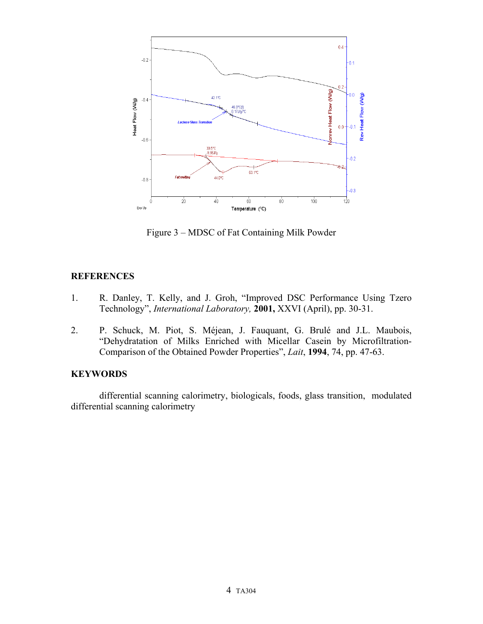

Figure 3 – MDSC of Fat Containing Milk Powder

## **REFERENCES**

- 1. R. Danley, T. Kelly, and J. Groh, "Improved DSC Performance Using Tzero Technology", *International Laboratory,* **2001,** XXVI (April), pp. 30-31.
- 2. P. Schuck, M. Piot, S. Méjean, J. Fauquant, G. Brulé and J.L. Maubois, "Dehydratation of Milks Enriched with Micellar Casein by Microfiltration-Comparison of the Obtained Powder Properties", *Lait*, **1994**, 74, pp. 47-63.

## **KEYWORDS**

differential scanning calorimetry, biologicals, foods, glass transition, modulated differential scanning calorimetry